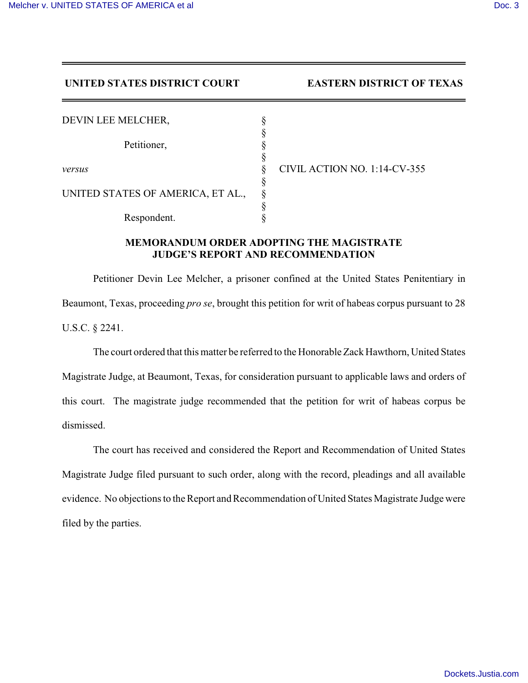## **UNITED STATES DISTRICT COURT EASTERN DISTRICT OF TEXAS**

| DEVIN LEE MELCHER,                |                              |
|-----------------------------------|------------------------------|
| Petitioner,                       |                              |
|                                   |                              |
| versus                            | CIVIL ACTION NO. 1:14-CV-355 |
| UNITED STATES OF AMERICA, ET AL., |                              |
|                                   |                              |
| Respondent.                       |                              |

## **MEMORANDUM ORDER ADOPTING THE MAGISTRATE JUDGE'S REPORT AND RECOMMENDATION**

Petitioner Devin Lee Melcher, a prisoner confined at the United States Penitentiary in Beaumont, Texas, proceeding *pro se*, brought this petition for writ of habeas corpus pursuant to 28 U.S.C. § 2241.

The court ordered that this matter be referred to the Honorable Zack Hawthorn, United States Magistrate Judge, at Beaumont, Texas, for consideration pursuant to applicable laws and orders of this court. The magistrate judge recommended that the petition for writ of habeas corpus be dismissed.

The court has received and considered the Report and Recommendation of United States Magistrate Judge filed pursuant to such order, along with the record, pleadings and all available evidence. No objections to the Report and Recommendation of United States Magistrate Judge were filed by the parties.